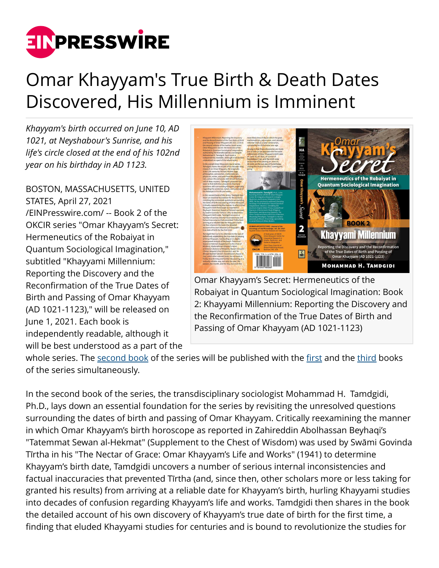

## Omar Khayyam's True Birth & Death Dates Discovered, His Millennium is Imminent

*Khayyam's birth occurred on June 10, AD 1021, at Neyshabour's Sunrise, and his life's circle closed at the end of his 102nd year on his birthday in AD 1123.*

BOSTON, MASSACHUSETTS, UNITED STATES, April 27, 2021 [/EINPresswire.com/](http://www.einpresswire.com) -- Book 2 of the OKCIR series "Omar Khayyam's Secret: Hermeneutics of the Robaiyat in Quantum Sociological Imagination," subtitled "Khayyami Millennium: Reporting the Discovery and the Reconfirmation of the True Dates of Birth and Passing of Omar Khayyam (AD 1021-1123)," will be released on June 1, 2021. Each book is independently readable, although it will be best understood as a part of the



Omar Khayyam's Secret: Hermeneutics of the Robaiyat in Quantum Sociological Imagination: Book 2: Khayyami Millennium: Reporting the Discovery and the Reconfirmation of the True Dates of Birth and Passing of Omar Khayyam (AD 1021-1123)

whole series. The [second book](https://www.okcir.com/product/omar-khayyams-secret-hermeneutics-of-the-robaiyat-in-quantum-sociological-imagination-book-2-khayyami-millennium-reporting-the-discovery-and-the-reconfirmation-of-the-true-dates-of-birth/) of the series will be published with the [first](https://www.okcir.com/product/omar-khayyams-secret-hermeneutics-of-the-robaiyat-in-quantum-sociological-imagination-book-1-new-khayyami-studies-quantumizing-the-newtonian-structures-of-c-wright-millss-sociol/) and the [third](https://www.okcir.com/product/omar-khayyams-secret-hermeneutics-of-the-robaiyat-in-quantum-sociological-imagination-book-3-khayyami-astronomy-how-omar-khayyams-newly-discovered-true-birth-date-horoscope-revea/) books of the series simultaneously.

In the second book of the series, the transdisciplinary sociologist Mohammad H. Tamdgidi, Ph.D., lays down an essential foundation for the series by revisiting the unresolved questions surrounding the dates of birth and passing of Omar Khayyam. Critically reexamining the manner in which Omar Khayyam's birth horoscope as reported in Zahireddin Abolhassan Beyhaqi's "Tatemmat Sewan al-Hekmat" (Supplement to the Chest of Wisdom) was used by Swāmi Govinda Tīrtha in his "The Nectar of Grace: Omar Khayyam's Life and Works" (1941) to determine Khayyam's birth date, Tamdgidi uncovers a number of serious internal inconsistencies and factual inaccuracies that prevented Tīrtha (and, since then, other scholars more or less taking for granted his results) from arriving at a reliable date for Khayyam's birth, hurling Khayyami studies into decades of confusion regarding Khayyam's life and works. Tamdgidi then shares in the book the detailed account of his own discovery of Khayyam's true date of birth for the first time, a finding that eluded Khayyami studies for centuries and is bound to revolutionize the studies for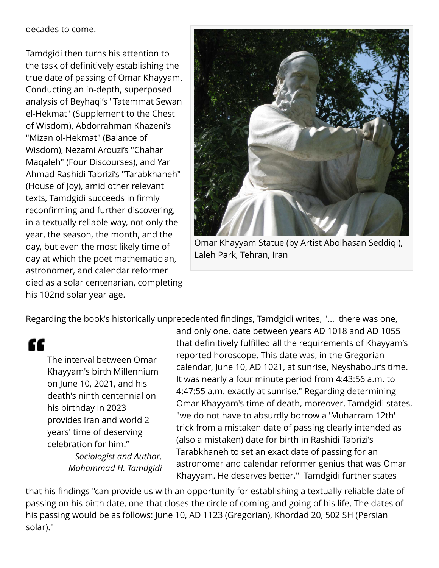decades to come.

Tamdgidi then turns his attention to the task of definitively establishing the true date of passing of Omar Khayyam. Conducting an in-depth, superposed analysis of Beyhaqi's "Tatemmat Sewan el-Hekmat" (Supplement to the Chest of Wisdom), Abdorrahman Khazeni's "Mizan ol-Hekmat" (Balance of Wisdom), Nezami Arouzi's "Chahar Maqaleh" (Four Discourses), and Yar Ahmad Rashidi Tabrizi's "Tarabkhaneh" (House of Joy), amid other relevant texts, Tamdgidi succeeds in firmly reconfirming and further discovering, in a textually reliable way, not only the year, the season, the month, and the day, but even the most likely time of day at which the poet mathematician, astronomer, and calendar reformer died as a solar centenarian, completing his 102nd solar year age.



Omar Khayyam Statue (by Artist Abolhasan Seddiqi), Laleh Park, Tehran, Iran

Regarding the book's historically unprecedented findings, Tamdgidi writes, "… there was one,

"

The interval between Omar Khayyam's birth Millennium on June 10, 2021, and his death's ninth centennial on his birthday in 2023 provides Iran and world 2 years' time of deserving celebration for him." *Sociologist and Author, Mohammad H. Tamdgidi*

and only one, date between years AD 1018 and AD 1055 that definitively fulfilled all the requirements of Khayyam's reported horoscope. This date was, in the Gregorian calendar, June 10, AD 1021, at sunrise, Neyshabour's time. It was nearly a four minute period from 4:43:56 a.m. to 4:47:55 a.m. exactly at sunrise." Regarding determining Omar Khayyam's time of death, moreover, Tamdgidi states, "we do not have to absurdly borrow a 'Muharram 12th' trick from a mistaken date of passing clearly intended as (also a mistaken) date for birth in Rashidi Tabrizi's Tarabkhaneh to set an exact date of passing for an astronomer and calendar reformer genius that was Omar Khayyam. He deserves better." Tamdgidi further states

that his findings "can provide us with an opportunity for establishing a textually-reliable date of passing on his birth date, one that closes the circle of coming and going of his life. The dates of his passing would be as follows: June 10, AD 1123 (Gregorian), Khordad 20, 502 SH (Persian solar)."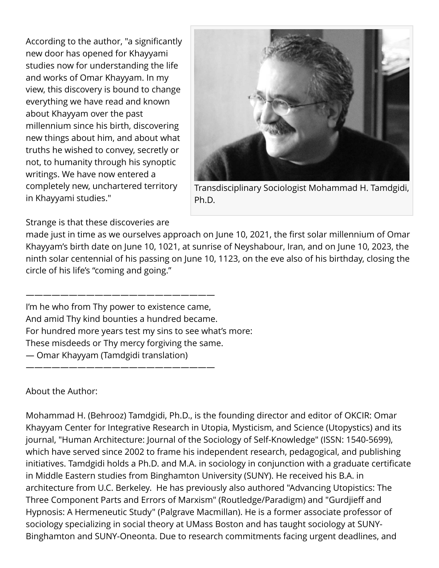According to the author, "a significantly new door has opened for Khayyami studies now for understanding the life and works of Omar Khayyam. In my view, this discovery is bound to change everything we have read and known about Khayyam over the past millennium since his birth, discovering new things about him, and about what truths he wished to convey, secretly or not, to humanity through his synoptic writings. We have now entered a completely new, unchartered territory in Khayyami studies."



Transdisciplinary Sociologist Mohammad H. Tamdgidi, Ph.D.

Strange is that these discoveries are

made just in time as we ourselves approach on June 10, 2021, the first solar millennium of Omar Khayyam's birth date on June 10, 1021, at sunrise of Neyshabour, Iran, and on June 10, 2023, the ninth solar centennial of his passing on June 10, 1123, on the eve also of his birthday, closing the circle of his life's "coming and going."

I'm he who from Thy power to existence came, And amid Thy kind bounties a hundred became. For hundred more years test my sins to see what's more: These misdeeds or Thy mercy forgiving the same. — Omar Khayyam (Tamdgidi translation)

——————————————————————

——————————————————————

About the Author:

Mohammad H. (Behrooz) Tamdgidi, Ph.D., is the founding director and editor of OKCIR: Omar Khayyam Center for Integrative Research in Utopia, Mysticism, and Science (Utopystics) and its journal, "Human Architecture: Journal of the Sociology of Self-Knowledge" (ISSN: 1540-5699), which have served since 2002 to frame his independent research, pedagogical, and publishing initiatives. Tamdgidi holds a Ph.D. and M.A. in sociology in conjunction with a graduate certificate in Middle Eastern studies from Binghamton University (SUNY). He received his B.A. in architecture from U.C. Berkeley. He has previously also authored "Advancing Utopistics: The Three Component Parts and Errors of Marxism" (Routledge/Paradigm) and "Gurdjieff and Hypnosis: A Hermeneutic Study" (Palgrave Macmillan). He is a former associate professor of sociology specializing in social theory at UMass Boston and has taught sociology at SUNY-Binghamton and SUNY-Oneonta. Due to research commitments facing urgent deadlines, and